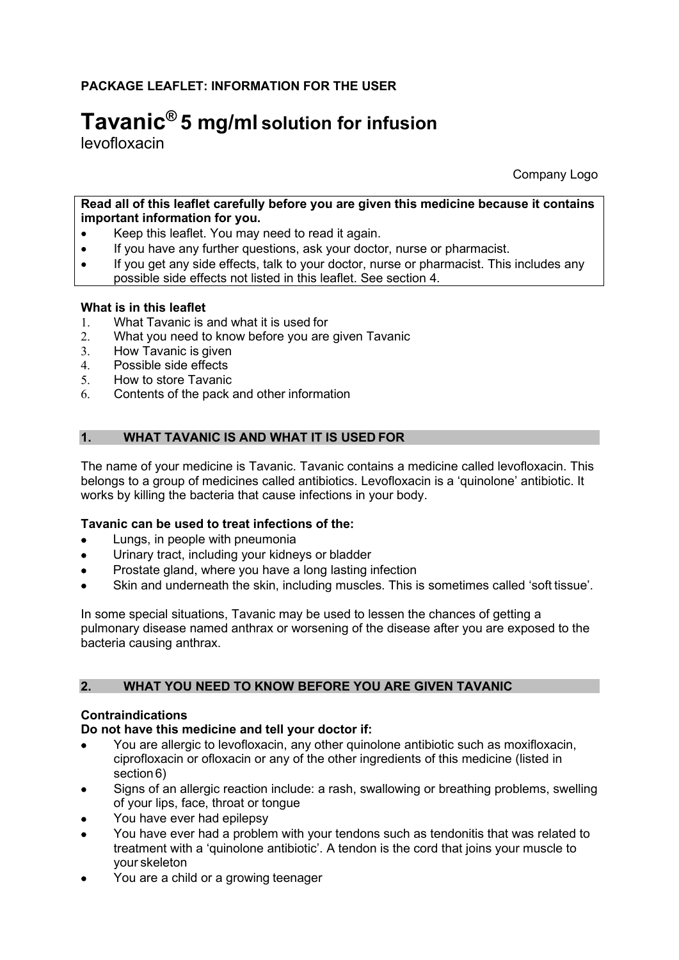# **Tavanic® 5 mg/ml solution for infusion**

levofloxacin

Company Logo

#### **Read all of this leaflet carefully before you are given this medicine because it contains important information for you.**

- Keep this leaflet. You may need to read it again.
- If you have any further questions, ask your doctor, nurse or pharmacist.
- If you get any side effects, talk to your doctor, nurse or pharmacist. This includes any possible side effects not listed in this leaflet. See section 4.

### **What is in this leaflet**

- 1. What Tavanic is and what it is used for
- 2. What you need to know before you are given Tavanic
- 3. How Tavanic is given
- 4. Possible side effects
- 5. How to store Tavanic
- 6. Contents of the pack and other information

### **1. WHAT TAVANIC IS AND WHAT IT IS USED FOR**

The name of your medicine is Tavanic. Tavanic contains a medicine called levofloxacin. This belongs to a group of medicines called antibiotics. Levofloxacin is a 'quinolone' antibiotic. It works by killing the bacteria that cause infections in your body.

### **Tavanic can be used to treat infections of the:**

- Lungs, in people with pneumonia
- Urinary tract, including your kidneys or bladder
- Prostate gland, where you have a long lasting infection
- Skin and underneath the skin, including muscles. This is sometimes called 'soft tissue'.

In some special situations, Tavanic may be used to lessen the chances of getting a pulmonary disease named anthrax or worsening of the disease after you are exposed to the bacteria causing anthrax.

### **2. WHAT YOU NEED TO KNOW BEFORE YOU ARE GIVEN TAVANIC**

#### **Contraindications**

### **Do not have this medicine and tell your doctor if:**

- You are allergic to levofloxacin, any other quinolone antibiotic such as moxifloxacin, ciprofloxacin or ofloxacin or any of the other ingredients of this medicine (listed in section 6)
- Signs of an allergic reaction include: a rash, swallowing or breathing problems, swelling of your lips, face, throat or tongue
- You have ever had epilepsy
- You have ever had a problem with your tendons such as tendonitis that was related to treatment with a 'quinolone antibiotic'. A tendon is the cord that joins your muscle to your skeleton
- You are a child or a growing teenager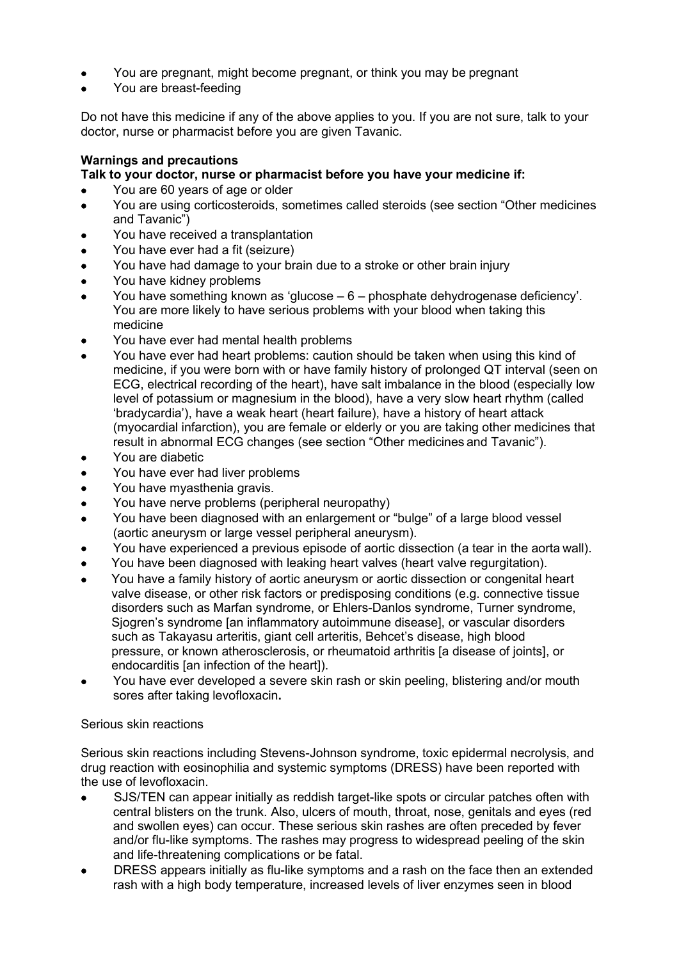- You are pregnant, might become pregnant, or think you may be pregnant
- You are breast-feeding

Do not have this medicine if any of the above applies to you. If you are not sure, talk to your doctor, nurse or pharmacist before you are given Tavanic.

#### **Warnings and precautions**

#### **Talk to your doctor, nurse or pharmacist before you have your medicine if:**

- You are 60 years of age or older
- You are using corticosteroids, sometimes called steroids (see section "Other medicines and Tavanic")
- You have received a transplantation
- You have ever had a fit (seizure)
- You have had damage to your brain due to a stroke or other brain injury
- You have kidney problems
- You have something known as 'glucose 6 phosphate dehydrogenase deficiency'. You are more likely to have serious problems with your blood when taking this medicine
- You have ever had mental health problems
- You have ever had heart problems: caution should be taken when using this kind of medicine, if you were born with or have family history of prolonged QT interval (seen on ECG, electrical recording of the heart), have salt imbalance in the blood (especially low level of potassium or magnesium in the blood), have a very slow heart rhythm (called 'bradycardia'), have a weak heart (heart failure), have a history of heart attack (myocardial infarction), you are female or elderly or you are taking other medicines that result in abnormal ECG changes (see section "Other medicines and Tavanic").
- You are diabetic
- You have ever had liver problems
- You have myasthenia gravis.
- You have nerve problems (peripheral neuropathy)
- You have been diagnosed with an enlargement or "bulge" of a large blood vessel (aortic aneurysm or large vessel peripheral aneurysm).
- You have experienced a previous episode of aortic dissection (a tear in the aorta wall).
- You have been diagnosed with leaking heart valves (heart valve regurgitation).
- You have a family history of aortic aneurysm or aortic dissection or congenital heart valve disease, or other risk factors or predisposing conditions (e.g. connective tissue disorders such as Marfan syndrome, or Ehlers-Danlos syndrome, Turner syndrome, Sjogren's syndrome [an inflammatory autoimmune disease], or vascular disorders such as Takayasu arteritis, giant cell arteritis, Behcet's disease, high blood pressure, or known atherosclerosis, or rheumatoid arthritis [a disease of joints], or endocarditis [an infection of the heart]).
- You have ever developed a severe skin rash or skin peeling, blistering and/or mouth sores after taking levofloxacin**.**

#### Serious skin reactions

Serious skin reactions including Stevens-Johnson syndrome, toxic epidermal necrolysis, and drug reaction with eosinophilia and systemic symptoms (DRESS) have been reported with the use of levofloxacin.

- SJS/TEN can appear initially as reddish target-like spots or circular patches often with central blisters on the trunk. Also, ulcers of mouth, throat, nose, genitals and eyes (red and swollen eyes) can occur. These serious skin rashes are often preceded by fever and/or flu-like symptoms. The rashes may progress to widespread peeling of the skin and life-threatening complications or be fatal.
- DRESS appears initially as flu-like symptoms and a rash on the face then an extended rash with a high body temperature, increased levels of liver enzymes seen in blood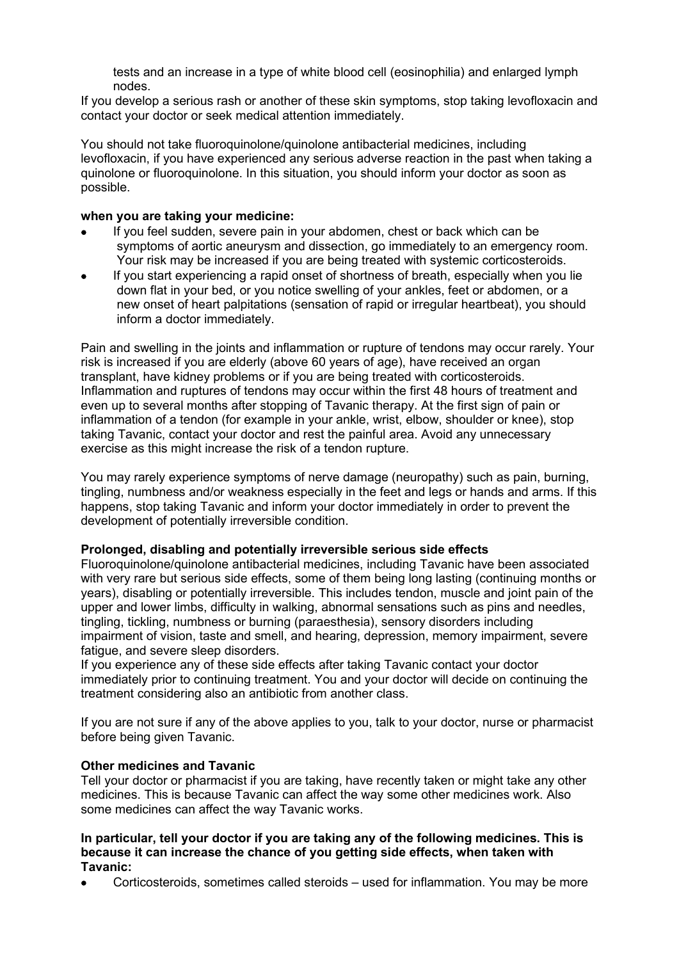tests and an increase in a type of white blood cell (eosinophilia) and enlarged lymph nodes.

If you develop a serious rash or another of these skin symptoms, stop taking levofloxacin and contact your doctor or seek medical attention immediately.

You should not take fluoroquinolone/quinolone antibacterial medicines, including levofloxacin, if you have experienced any serious adverse reaction in the past when taking a quinolone or fluoroquinolone. In this situation, you should inform your doctor as soon as possible.

#### **when you are taking your medicine:**

- If you feel sudden, severe pain in your abdomen, chest or back which can be symptoms of aortic aneurysm and dissection, go immediately to an emergency room. Your risk may be increased if you are being treated with systemic corticosteroids.
- If you start experiencing a rapid onset of shortness of breath, especially when you lie down flat in your bed, or you notice swelling of your ankles, feet or abdomen, or a new onset of heart palpitations (sensation of rapid or irregular heartbeat), you should inform a doctor immediately.

Pain and swelling in the joints and inflammation or rupture of tendons may occur rarely. Your risk is increased if you are elderly (above 60 years of age), have received an organ transplant, have kidney problems or if you are being treated with corticosteroids. Inflammation and ruptures of tendons may occur within the first 48 hours of treatment and even up to several months after stopping of Tavanic therapy. At the first sign of pain or inflammation of a tendon (for example in your ankle, wrist, elbow, shoulder or knee), stop taking Tavanic, contact your doctor and rest the painful area. Avoid any unnecessary exercise as this might increase the risk of a tendon rupture.

You may rarely experience symptoms of nerve damage (neuropathy) such as pain, burning, tingling, numbness and/or weakness especially in the feet and legs or hands and arms. If this happens, stop taking Tavanic and inform your doctor immediately in order to prevent the development of potentially irreversible condition.

#### **Prolonged, disabling and potentially irreversible serious side effects**

Fluoroquinolone/quinolone antibacterial medicines, including Tavanic have been associated with very rare but serious side effects, some of them being long lasting (continuing months or years), disabling or potentially irreversible. This includes tendon, muscle and joint pain of the upper and lower limbs, difficulty in walking, abnormal sensations such as pins and needles, tingling, tickling, numbness or burning (paraesthesia), sensory disorders including impairment of vision, taste and smell, and hearing, depression, memory impairment, severe fatigue, and severe sleep disorders.

If you experience any of these side effects after taking Tavanic contact your doctor immediately prior to continuing treatment. You and your doctor will decide on continuing the treatment considering also an antibiotic from another class.

If you are not sure if any of the above applies to you, talk to your doctor, nurse or pharmacist before being given Tavanic.

#### **Other medicines and Tavanic**

Tell your doctor or pharmacist if you are taking, have recently taken or might take any other medicines. This is because Tavanic can affect the way some other medicines work. Also some medicines can affect the way Tavanic works.

#### **In particular, tell your doctor if you are taking any of the following medicines. This is because it can increase the chance of you getting side effects, when taken with Tavanic:**

• Corticosteroids, sometimes called steroids – used for inflammation. You may be more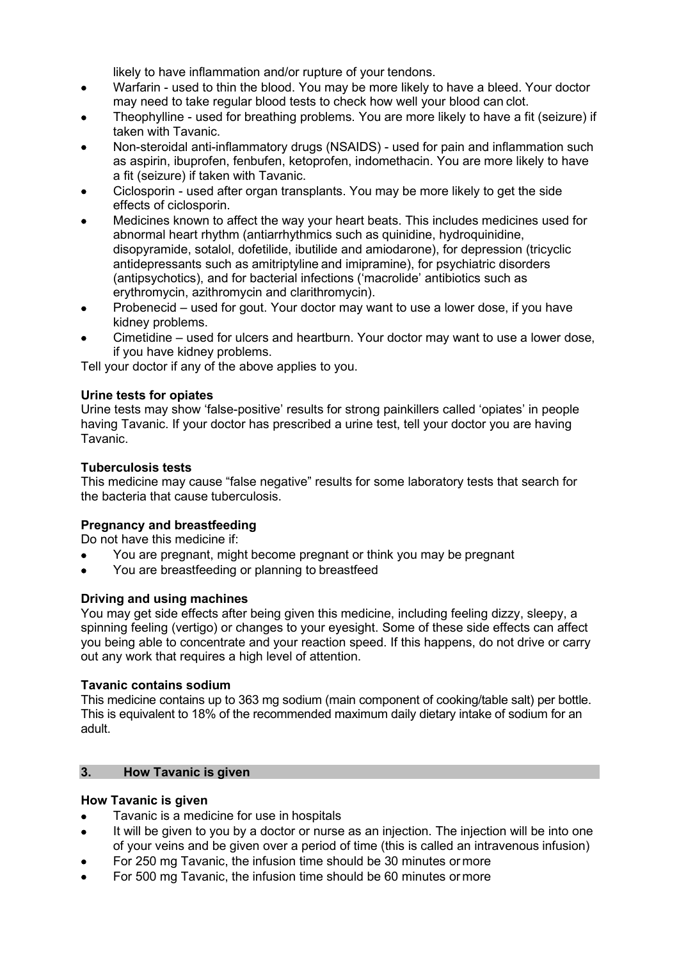likely to have inflammation and/or rupture of your tendons.

- Warfarin used to thin the blood. You may be more likely to have a bleed. Your doctor may need to take regular blood tests to check how well your blood can clot.
- Theophylline used for breathing problems. You are more likely to have a fit (seizure) if taken with Tavanic.
- Non-steroidal anti-inflammatory drugs (NSAIDS) used for pain and inflammation such as aspirin, ibuprofen, fenbufen, ketoprofen, indomethacin. You are more likely to have a fit (seizure) if taken with Tavanic.
- Ciclosporin used after organ transplants. You may be more likely to get the side effects of ciclosporin.
- Medicines known to affect the way your heart beats. This includes medicines used for abnormal heart rhythm (antiarrhythmics such as quinidine, hydroquinidine, disopyramide, sotalol, dofetilide, ibutilide and amiodarone), for depression (tricyclic antidepressants such as amitriptyline and imipramine), for psychiatric disorders (antipsychotics), and for bacterial infections ('macrolide' antibiotics such as erythromycin, azithromycin and clarithromycin).
- Probenecid used for gout. Your doctor may want to use a lower dose, if you have kidney problems.
- Cimetidine used for ulcers and heartburn. Your doctor may want to use a lower dose, if you have kidney problems.

Tell your doctor if any of the above applies to you.

#### **Urine tests for opiates**

Urine tests may show 'false-positive' results for strong painkillers called 'opiates' in people having Tavanic. If your doctor has prescribed a urine test, tell your doctor you are having Tavanic.

#### **Tuberculosis tests**

This medicine may cause "false negative" results for some laboratory tests that search for the bacteria that cause tuberculosis.

#### **Pregnancy and breastfeeding**

Do not have this medicine if:

- You are pregnant, might become pregnant or think you may be pregnant
- You are breastfeeding or planning to breastfeed

#### **Driving and using machines**

You may get side effects after being given this medicine, including feeling dizzy, sleepy, a spinning feeling (vertigo) or changes to your eyesight. Some of these side effects can affect you being able to concentrate and your reaction speed. If this happens, do not drive or carry out any work that requires a high level of attention.

#### **Tavanic contains sodium**

This medicine contains up to 363 mg sodium (main component of cooking/table salt) per bottle. This is equivalent to 18% of the recommended maximum daily dietary intake of sodium for an adult.

#### **3. How Tavanic is given**

#### **How Tavanic is given**

- Tavanic is a medicine for use in hospitals
- It will be given to you by a doctor or nurse as an injection. The injection will be into one of your veins and be given over a period of time (this is called an intravenous infusion)
- For 250 mg Tavanic, the infusion time should be 30 minutes or more
- For 500 mg Tavanic, the infusion time should be 60 minutes or more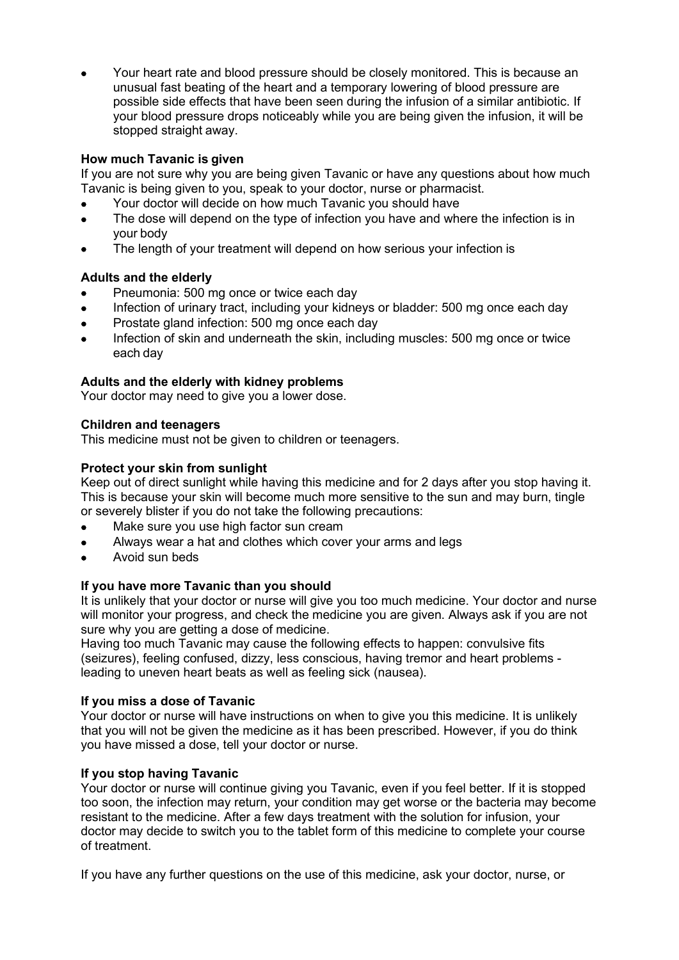• Your heart rate and blood pressure should be closely monitored. This is because an unusual fast beating of the heart and a temporary lowering of blood pressure are possible side effects that have been seen during the infusion of a similar antibiotic. If your blood pressure drops noticeably while you are being given the infusion, it will be stopped straight away.

#### **How much Tavanic is given**

If you are not sure why you are being given Tavanic or have any questions about how much Tavanic is being given to you, speak to your doctor, nurse or pharmacist.

- Your doctor will decide on how much Tavanic you should have
- The dose will depend on the type of infection you have and where the infection is in your body
- The length of your treatment will depend on how serious your infection is

#### **Adults and the elderly**

- Pneumonia: 500 mg once or twice each day
- Infection of urinary tract, including your kidneys or bladder: 500 mg once each day
- Prostate gland infection: 500 mg once each day
- Infection of skin and underneath the skin, including muscles: 500 mg once or twice each day

#### **Adults and the elderly with kidney problems**

Your doctor may need to give you a lower dose.

#### **Children and teenagers**

This medicine must not be given to children or teenagers.

#### **Protect your skin from sunlight**

Keep out of direct sunlight while having this medicine and for 2 days after you stop having it. This is because your skin will become much more sensitive to the sun and may burn, tingle or severely blister if you do not take the following precautions:

- Make sure you use high factor sun cream
- Always wear a hat and clothes which cover your arms and legs
- Avoid sun beds

#### **If you have more Tavanic than you should**

It is unlikely that your doctor or nurse will give you too much medicine. Your doctor and nurse will monitor your progress, and check the medicine you are given. Always ask if you are not sure why you are getting a dose of medicine.

Having too much Tavanic may cause the following effects to happen: convulsive fits (seizures), feeling confused, dizzy, less conscious, having tremor and heart problems leading to uneven heart beats as well as feeling sick (nausea).

#### **If you miss a dose of Tavanic**

Your doctor or nurse will have instructions on when to give you this medicine. It is unlikely that you will not be given the medicine as it has been prescribed. However, if you do think you have missed a dose, tell your doctor or nurse.

#### **If you stop having Tavanic**

Your doctor or nurse will continue giving you Tavanic, even if you feel better. If it is stopped too soon, the infection may return, your condition may get worse or the bacteria may become resistant to the medicine. After a few days treatment with the solution for infusion, your doctor may decide to switch you to the tablet form of this medicine to complete your course of treatment.

If you have any further questions on the use of this medicine, ask your doctor, nurse, or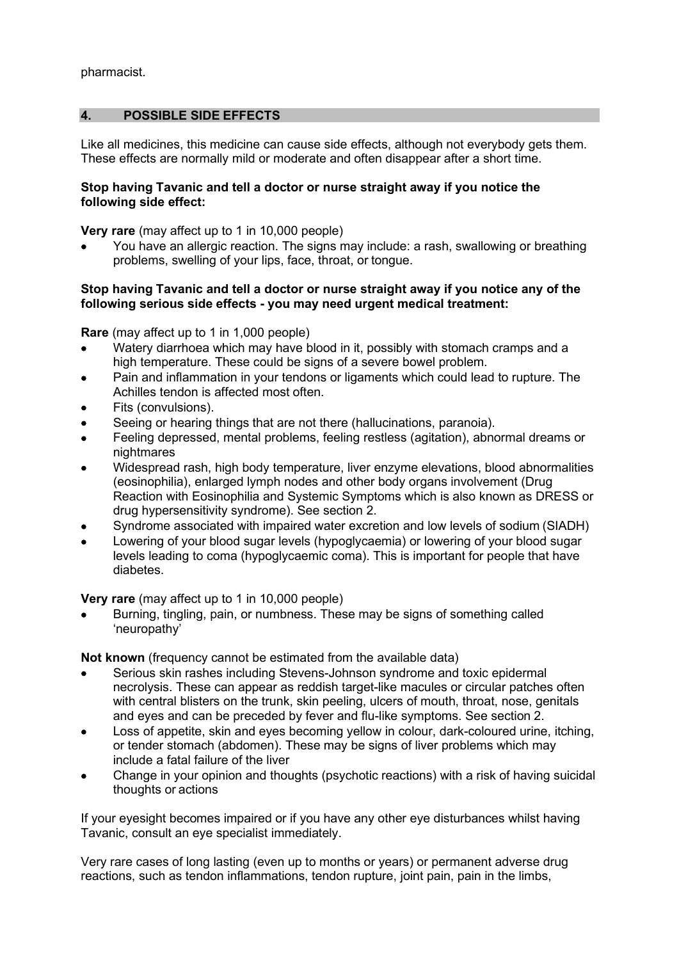pharmacist.

#### **4. POSSIBLE SIDE EFFECTS**

Like all medicines, this medicine can cause side effects, although not everybody gets them. These effects are normally mild or moderate and often disappear after a short time.

#### **Stop having Tavanic and tell a doctor or nurse straight away if you notice the following side effect:**

**Very rare** (may affect up to 1 in 10,000 people)

• You have an allergic reaction. The signs may include: a rash, swallowing or breathing problems, swelling of your lips, face, throat, or tongue.

#### **Stop having Tavanic and tell a doctor or nurse straight away if you notice any of the following serious side effects - you may need urgent medical treatment:**

**Rare** (may affect up to 1 in 1,000 people)

- Watery diarrhoea which may have blood in it, possibly with stomach cramps and a high temperature. These could be signs of a severe bowel problem.
- Pain and inflammation in your tendons or ligaments which could lead to rupture. The Achilles tendon is affected most often.
- Fits (convulsions).
- Seeing or hearing things that are not there (hallucinations, paranoia).
- Feeling depressed, mental problems, feeling restless (agitation), abnormal dreams or nightmares
- Widespread rash, high body temperature, liver enzyme elevations, blood abnormalities (eosinophilia), enlarged lymph nodes and other body organs involvement (Drug Reaction with Eosinophilia and Systemic Symptoms which is also known as DRESS or drug hypersensitivity syndrome). See section 2.
- Syndrome associated with impaired water excretion and low levels of sodium (SIADH)
- Lowering of your blood sugar levels (hypoglycaemia) or lowering of your blood sugar levels leading to coma (hypoglycaemic coma). This is important for people that have diabetes.

**Very rare** (may affect up to 1 in 10,000 people)

• Burning, tingling, pain, or numbness. These may be signs of something called 'neuropathy'

**Not known** (frequency cannot be estimated from the available data)

- Serious skin rashes including Stevens-Johnson syndrome and toxic epidermal necrolysis. These can appear as reddish target-like macules or circular patches often with central blisters on the trunk, skin peeling, ulcers of mouth, throat, nose, genitals and eyes and can be preceded by fever and flu-like symptoms. See section 2.
- Loss of appetite, skin and eyes becoming yellow in colour, dark-coloured urine, itching, or tender stomach (abdomen). These may be signs of liver problems which may include a fatal failure of the liver
- Change in your opinion and thoughts (psychotic reactions) with a risk of having suicidal thoughts or actions

If your eyesight becomes impaired or if you have any other eye disturbances whilst having Tavanic, consult an eye specialist immediately.

Very rare cases of long lasting (even up to months or years) or permanent adverse drug reactions, such as tendon inflammations, tendon rupture, joint pain, pain in the limbs,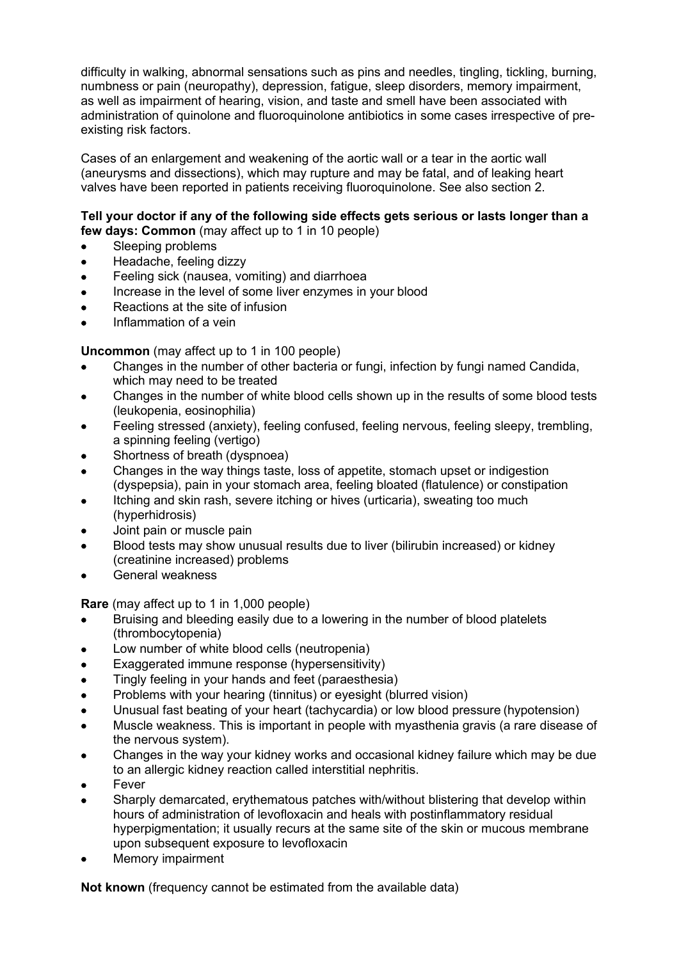difficulty in walking, abnormal sensations such as pins and needles, tingling, tickling, burning, numbness or pain (neuropathy), depression, fatigue, sleep disorders, memory impairment, as well as impairment of hearing, vision, and taste and smell have been associated with administration of quinolone and fluoroquinolone antibiotics in some cases irrespective of preexisting risk factors.

Cases of an enlargement and weakening of the aortic wall or a tear in the aortic wall (aneurysms and dissections), which may rupture and may be fatal, and of leaking heart valves have been reported in patients receiving fluoroquinolone. See also section 2.

#### **Tell your doctor if any of the following side effects gets serious or lasts longer than a few days: Common** (may affect up to 1 in 10 people)

- Sleeping problems
- Headache, feeling dizzy
- Feeling sick (nausea, vomiting) and diarrhoea
- Increase in the level of some liver enzymes in your blood
- Reactions at the site of infusion
- Inflammation of a vein

**Uncommon** (may affect up to 1 in 100 people)

- Changes in the number of other bacteria or fungi, infection by fungi named Candida, which may need to be treated
- Changes in the number of white blood cells shown up in the results of some blood tests (leukopenia, eosinophilia)
- Feeling stressed (anxiety), feeling confused, feeling nervous, feeling sleepy, trembling, a spinning feeling (vertigo)
- Shortness of breath (dyspnoea)
- Changes in the way things taste, loss of appetite, stomach upset or indigestion (dyspepsia), pain in your stomach area, feeling bloated (flatulence) or constipation
- Itching and skin rash, severe itching or hives (urticaria), sweating too much (hyperhidrosis)
- Joint pain or muscle pain
- Blood tests may show unusual results due to liver (bilirubin increased) or kidney (creatinine increased) problems
- General weakness

**Rare** (may affect up to 1 in 1,000 people)

- Bruising and bleeding easily due to a lowering in the number of blood platelets (thrombocytopenia)
- Low number of white blood cells (neutropenia)
- Exaggerated immune response (hypersensitivity)
- Tingly feeling in your hands and feet (paraesthesia)
- Problems with your hearing (tinnitus) or eyesight (blurred vision)
- Unusual fast beating of your heart (tachycardia) or low blood pressure (hypotension)
- Muscle weakness. This is important in people with myasthenia gravis (a rare disease of the nervous system).
- Changes in the way your kidney works and occasional kidney failure which may be due to an allergic kidney reaction called interstitial nephritis.
- **Fever**
- Sharply demarcated, erythematous patches with/without blistering that develop within hours of administration of levofloxacin and heals with postinflammatory residual hyperpigmentation; it usually recurs at the same site of the skin or mucous membrane upon subsequent exposure to levofloxacin
- Memory impairment

**Not known** (frequency cannot be estimated from the available data)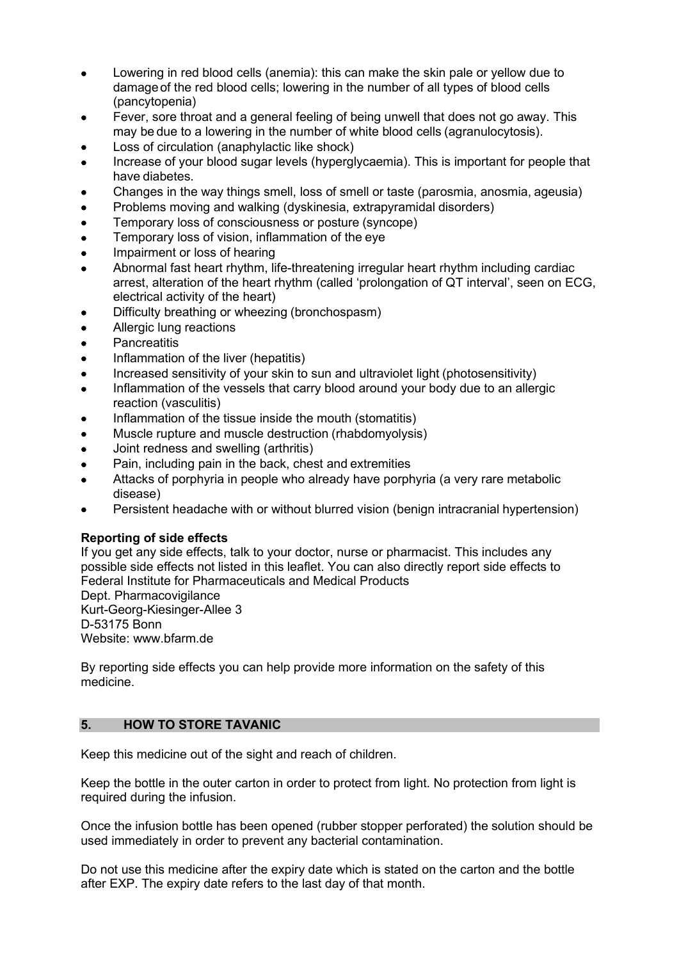- Lowering in red blood cells (anemia): this can make the skin pale or yellow due to damageof the red blood cells; lowering in the number of all types of blood cells (pancytopenia)
- Fever, sore throat and a general feeling of being unwell that does not go away. This may be due to a lowering in the number of white blood cells (agranulocytosis).
- Loss of circulation (anaphylactic like shock)
- Increase of your blood sugar levels (hyperglycaemia). This is important for people that have diabetes.
- Changes in the way things smell, loss of smell or taste (parosmia, anosmia, ageusia)
- Problems moving and walking (dyskinesia, extrapyramidal disorders)
- Temporary loss of consciousness or posture (syncope)
- Temporary loss of vision, inflammation of the eye
- Impairment or loss of hearing
- Abnormal fast heart rhythm, life-threatening irregular heart rhythm including cardiac arrest, alteration of the heart rhythm (called 'prolongation of QT interval', seen on ECG, electrical activity of the heart)
- Difficulty breathing or wheezing (bronchospasm)
- Allergic lung reactions
- Pancreatitis
- Inflammation of the liver (hepatitis)
- Increased sensitivity of your skin to sun and ultraviolet light (photosensitivity)
- Inflammation of the vessels that carry blood around your body due to an allergic reaction (vasculitis)
- Inflammation of the tissue inside the mouth (stomatitis)
- Muscle rupture and muscle destruction (rhabdomyolysis)
- Joint redness and swelling (arthritis)
- Pain, including pain in the back, chest and extremities
- Attacks of porphyria in people who already have porphyria (a very rare metabolic disease)
- Persistent headache with or without blurred vision (benign intracranial hypertension)

#### **Reporting of side effects**

If you get any side effects, talk to your doctor, nurse or pharmacist. This includes any possible side effects not listed in this leaflet. You can also directly report side effects to Federal Institute for Pharmaceuticals and Medical Products

Dept. Pharmacovigilance Kurt-Georg-Kiesinger-Allee 3 D-53175 Bonn Website: www.bfarm.de

By reporting side effects you can help provide more information on the safety of this medicine.

#### **5. HOW TO STORE TAVANIC**

Keep this medicine out of the sight and reach of children.

Keep the bottle in the outer carton in order to protect from light. No protection from light is required during the infusion.

Once the infusion bottle has been opened (rubber stopper perforated) the solution should be used immediately in order to prevent any bacterial contamination.

Do not use this medicine after the expiry date which is stated on the carton and the bottle after EXP. The expiry date refers to the last day of that month.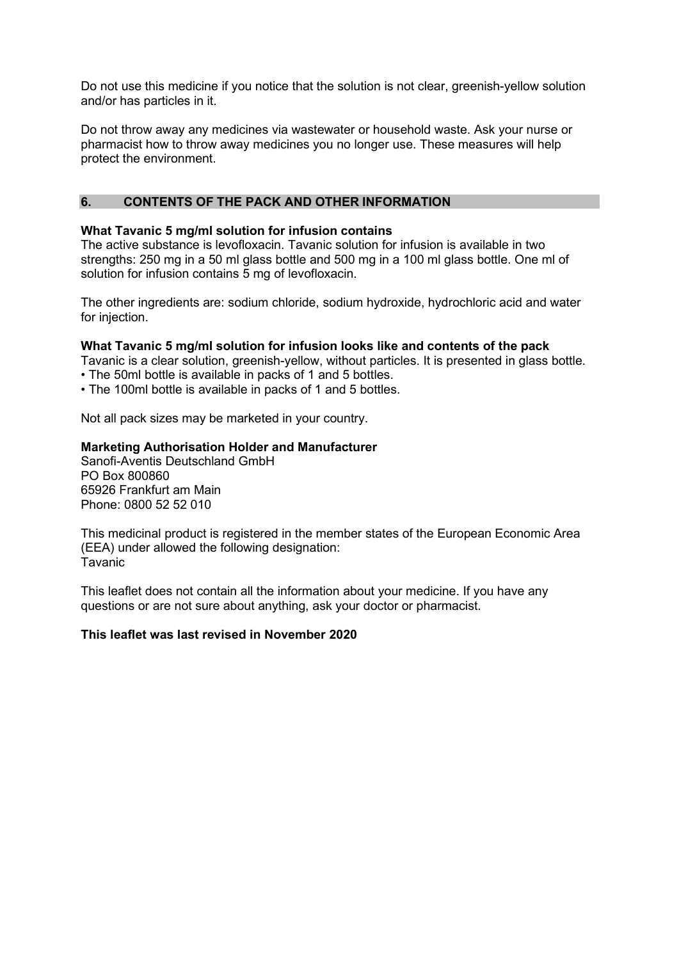Do not use this medicine if you notice that the solution is not clear, greenish-yellow solution and/or has particles in it.

Do not throw away any medicines via wastewater or household waste. Ask your nurse or pharmacist how to throw away medicines you no longer use. These measures will help protect the environment.

#### **6. CONTENTS OF THE PACK AND OTHER INFORMATION**

#### **What Tavanic 5 mg/ml solution for infusion contains**

The active substance is levofloxacin. Tavanic solution for infusion is available in two strengths: 250 mg in a 50 ml glass bottle and 500 mg in a 100 ml glass bottle. One ml of solution for infusion contains 5 mg of levofloxacin.

The other ingredients are: sodium chloride, sodium hydroxide, hydrochloric acid and water for injection.

#### **What Tavanic 5 mg/ml solution for infusion looks like and contents of the pack**

Tavanic is a clear solution, greenish-yellow, without particles. It is presented in glass bottle.

- The 50ml bottle is available in packs of 1 and 5 bottles.
- The 100ml bottle is available in packs of 1 and 5 bottles.

Not all pack sizes may be marketed in your country.

#### **Marketing Authorisation Holder and Manufacturer**

Sanofi-Aventis Deutschland GmbH PO Box 800860 65926 Frankfurt am Main Phone: 0800 52 52 010

This medicinal product is registered in the member states of the European Economic Area (EEA) under allowed the following designation: Tavanic

This leaflet does not contain all the information about your medicine. If you have any questions or are not sure about anything, ask your doctor or pharmacist.

#### **This leaflet was last revised in November 2020**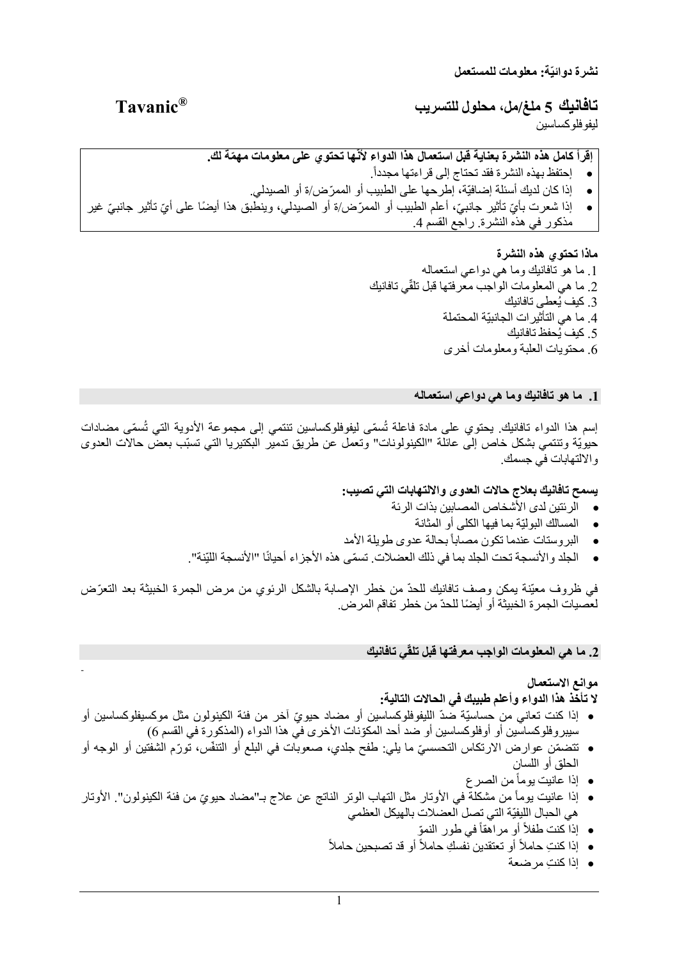**ّة: معلومات للمستعمل نشرة دوائی**

**Tavanic ® تافانیك 5 ملغ/مل، محلول للتسریب**  لیفوفلوكساسین

-

# إقرأ كامل هذه النشرة بعناية قبل استعمال هذا الدواءِ لأنها تحتوي على معلومات مهمّة لك.

- .ً إحتفظ بھذه النشرة فقد تحتاج إلى قراءتھا مجددا
- إذا كان لدیك أسئلة إضافیّة، إطرحھا على الطبیب ّ أو الممرض/ة أو الصیدلي.
- ّ إذا شعرت بأي ّ تأثیر جانبي، أعلم الطبیب ّ أو الممرض/ة ً أو الصیدلي، وینطبق ھذا أیض ّ ا على أي ّ تأثیر جانبي غیر مذكور في ھذه النشرة. راجع القسم .4

**ماذا تحتوي ھذه النشرة**  .1 ما ھو تافانیك وما ھي دواعي استعمالھ 2. ما هي المعلومات الواجب معرفتها قبل تلقّي تافانيك 3. كَيْف يُعطي تافانيك .4 ما ھي التأثیرات الجانبیّة المحتملة 5. كيف يُحفظ تافانيك .6 محتویات العلبة ومعلومات أخرى

**.1 ما ھو تافانیك وما ھي دواعي استعمالھ** 

إسم هذا الدواء تافانيك. يحتوي على مادة فاعلة تُسمّى ليفوفلوكساسين تنتمي إلى مجموعة الأدوية التي تُسمّى مضادات حیویّة وتنتمي بشكل خاص إلى عائلة " الكینولونات" وتعمل عن طریق تدمیر البكتیریا التي تسبّب بعض حالات العدوى والالتھابات في جسمك.

# **یسمح تافانیك بعلاج حالات العدوى والالتھابات التي تصیب:**

- الرئتین لدى الأشخاص المصابین بذات الرئة
	- المسالك البولیّة بما فیھا الكلى أو المثانة
- البروستات عندما تكون مصابأ بحالة عدوى طويلة الأمد
- الجلد والأنسجة تحت الجلد بما في ذلك العضلات. تسمّى هذه الأجزاء أحيانًا "الأنسجة اللّيّنة".

في ظروف معيّنة يمكن وصف تافانيك للحدّ من خطر الإصابة بالشكل الرئوي من مرض الجمرة الخبيثة بعد التعرّض لعصيات الجمر ة الخبيثة أو أيضًا للحدّ من خطر تفاقم المرض.

# **ّي تافانیك .2 ما ھي المعلومات الواجب معرفتھا قبل تلق**

# **موانع الاستعمال**

# **لا تأخذ ھذا الدواء وأعلم طبیبك في الحالات التالیة:**

- إذا كنت تعاني من حساسیّة ضدّ ّ اللیفوفلوكساسین أو مضاد حیوي آخر من فئة الكینولون مثل موكسیفلوكساسین أو سیبرروفلوكساسین أو أوفلوكساسین أو ضد أحد المكوّنات الأخرى في هذا الدواء (المذكورة في القسم 6)
- تتضمّنٍ عوارض الارتكاس التحسسيّ ما يلي: طفح جلدي، صعوبات في البلع أو التنفّس، تورّم الشفتين أو الوجه أو الحلق أو اللسان
	- ًمن الصرع إذا عانیت یوما
- إذا عانيت يوماً من مشكلة في الأوتار مثل التهاب الوتر الناتج عن علاج بـ"مضـاد حيويّ من فئة الكينولون". الأوتار ھي الحبال اللیفیّة التي تصل العضلات بالھیكل العظمي
	- ّ في طور النمو ً أو مراھقا إذا كنت طفلا
	- إذا كنتِ حاملاً أو تعتقدين نفسكِ حاملاً أو قد تصبحين حاملاً
		- ِ إذا كنت مرضعة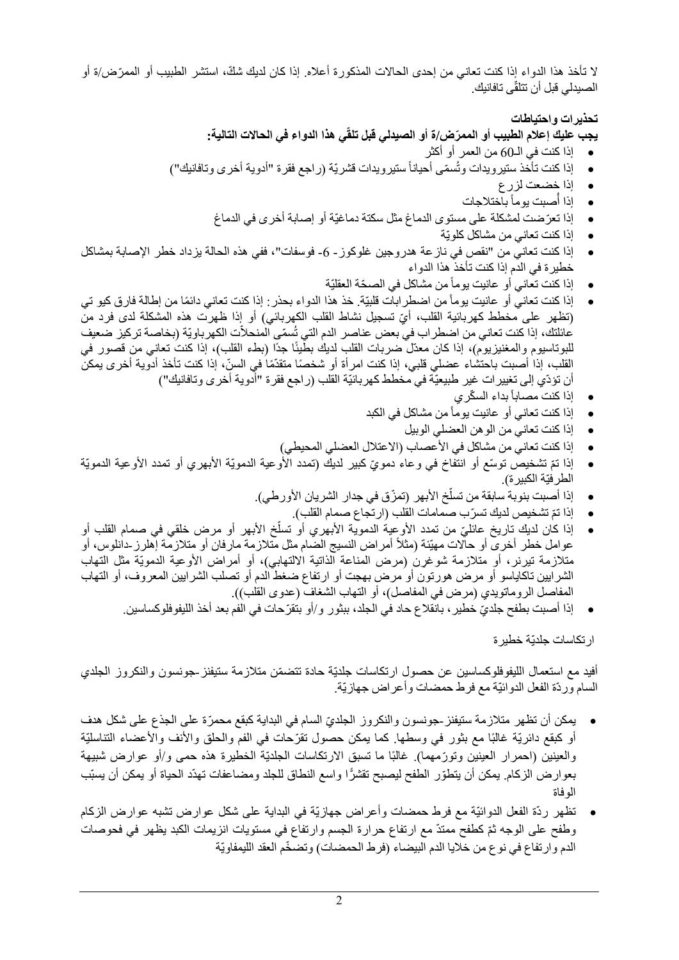لا تأخذ هذا الدواء إذا كنت تعاني من إحدى الحالات المذكورة أعلاه. إذا كان لديك شكّ، استشر الطبيب أو الممرّ ض/ة أو الصبدلي قبل أن تتلقّى تافانيك.

### **تحذیرات واحتیاطات**

# يجب عليك إعلام الطبيب أو الممرّض/ة أو الصيدل*ي* قبل تلقّي هذا الدواء ف*ي* الحالات التالية:

- إذا كنت في الـ60 من العمر أو أكثر
- إذا كنت تأخذ ستيرويدات وتُسمّى أحياناً ستيرويدات قشريّة (راجع فقرة "أدوية أخرى وتافانيك")
	- إذا خضعت لزرع
	- ً باختلاجات • صبت یوما إذا أ ُ
	- ّ إذا تعرضت لمشكلة على مستوى الدماغ مثل سكتة دماغیّة أو إصابة أخرى في الدماغ
		- إذا كنت تعاني من مشاكل كلویّة
- إذا كنت تعاني من "نقص في نازعة ھدروجین غلوكوز- -6 فوسفات"، ففي ھذه الحالة یزداد خطر الإصابة بمشاكل خطیرة في الدم إذا كنت تأخذ ھذا الدواء
	- إذا كنت تعاني أو عانيت يوماً من مشاكل في الصـحّة العقليّة
- إذا كنت تعاني أو عانيت يوماً من اضطرِ ابات قلبيّة. خذ هذا الدواء بحذر : إذاٍ كنت تعاني دائمًا من إطالة فارق كيو تي ّ (تظھر على مخطط كھربائیة القلب، أي تسجیل نشاط القلب الكھربائي) أو إذا ظھرت ھذه المشكلة لدى فرد من عائلتك، إذا كنت تعاني من اضطر اب في بعض عناصر الدم التي تُسمّى المنحلاّت الكهرباويّة (بخاصـة تركيز ضـعيف للبوتاسيوم والمغنيزيوم)، إذا كان معدّل ضربات القلب لديك بطيئًا جدًا (بطء القلب)، إذا كنت تعاني من قصور في القلب، إذا أصبت باحتشاء عضلي قلبي، إذا كنت امرأة أو شخصًا متقدّمًا في السنّ، إذا كنت تأخذ أدوية أخرى يمكن أن تؤدّي إلى تغییرات غیر طبیعیّة في مخطط كھربائیّة القلب (راجع فقرة "أدویة أخرى وتافانیك")
	- إذا كنت مصـابـأ بداء السكّري
	- إذا كنت تعاني أو عانيت يوماً من مشاكل في الكبد
		- إذا كنت تعاني من الوھن العضلي الوبیل
	- إذا كنت تعاني من مشاكل في الأعصاب (الاعتلال العضلي المحیطي)
- ّ إذا تم ّ تشخیص توسع أو انتفاخ ّ في وعاء دموي كبیر لدیك (تمدد الأوعیة الدمویّة الأبھري أو تمدد الأوعیة الدمویّة الطرفیّة الكبیرة).
	- إذا أصبت بنوبة سابقة من تسلّخ الأبهر (تمزّق في جدار الشريان الأورطي).
		- ّ إذا تم تشخیص لدیك ّ تسرب صمامات القلب (ارتجاع صمام القلب).
- إذا كان لديك تاريخ عائليّ من تمدد الأوعية الدموية الأبهري أو تسلّخ الأبهر أو مرضٍ خلقي في صمام القلب أو •عوامل خطر أخرى أو حالات مهيّئة (مثلاً أمراض النسيج الضـام مثل متلازمة مارفان أو متلازمة إهلرز ـدانلوس، أو متلازمة تيرنر، أو متلازمة شوغرن (مرض المناعة الذاتیة الالتھابی)، أو أمراض الأوعیة الدمویّة مثل التھاب الشرایین تاكایاسو أو مرض ھورتون أو مرض بھجت أو ارتفاع ضغط الدم أو تصلب الشرایین المعروف، أو التھاب المفاصل الروماتویدي (مرض في المفاصل)، أو التھاب الشغاف (عدوى القلب)).
	- ّ إذا أصبت بطفح جلدي ّ خطیر، بانقلاع حاد في الجلد، ببثور و/أو بتقرحات في الفم بعد أخذ اللیفوفلوكساسین.

ارتكاسات جلدیّة خطیرة

أفید مع استعمال اللیفوفلوكساسین عن حصول ارتكاسات جلدیّة حادة تتضمّن متلازمة ستیفنز -جونسون والنكروز الجلدي السام وردّة الفعل الدوائیّة مع فرط حمضات وأعراض جھازیّة.

- یمكن أن تظھر متلازمة ستیفنز- ّ جونسون والنكروز الجلدي السام في البدایة كبقع ّ محمرة على الجذع على شكل ھدف أو كبقع دائريّة غالبًا مع بثور في وسطها. كما يمكن حصول تقرّحات في الفم والحلق والأنف والأعضاء التناسليّة رالعينين (احمرار العينين وتورّمهما). غالبًا ما تسبق الارتكاسات الجلديّة الخطيرة هذه حمى و/أو عوارض شبيهة بعوارض الزكام. یمكن أن یتطوّر الطفح لیصبح تقشرًا واسع النطاق للجلد ومضاعفات تهدّد الحیاة أو یمكن أن یسبّب الوفاة
- تظھر ردّة الفعل الدوائیّة مع فرط حمضات وأعراض جھازیّة في البدایة على شكل عوارض تشبھ عوارض الزكام وطفح على الوجه ثمّ كطفح ممتدّ مع ارتفاع حرارة الجسم وارتفاع في مستويات انزيمات الكبد يظهر في فحوصات ّ الدم وارتفاع في نوع من خلایا الدم البیضاء (فرط الحمضات) وتضخم العقد اللیمفاویّة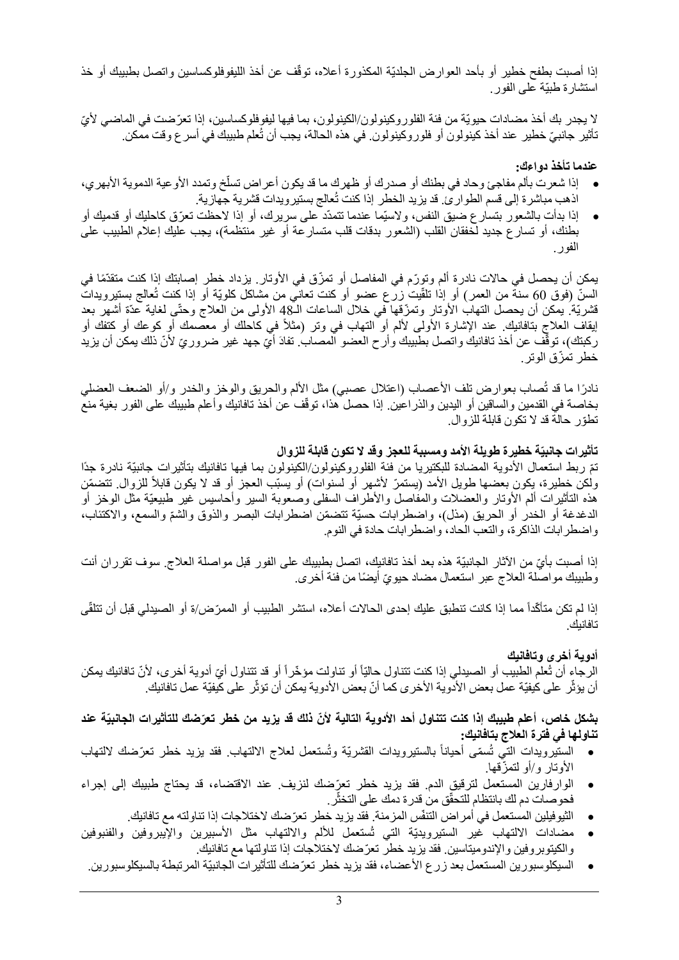إذا أصبت بطفح خطير أو بأحد العوارض الجلديّة المكذورة أعلاه، توقّف عن أخذ الليفوفلوكساسين واتصل بطبيبك أو خذ استشارة طبیّة على الفور.

لا یجدر بك أخذ مضادات حیویّة من فئة الفلوروكینولون/الكینولون، بما فیھا لیفوفلوكساسین ّ ، إذا تعر ّ ضت في الماضي لأي تأثير جانبيّ خطير عند أخذ كينولون أو فلوروكينولون. في هذه الحالة، يجب أن تُعلّم طبيبك في أسر ع وقت ممكن.

#### **عندما تأخذ دواءك:**

- ّخ وتمدد الأوعیة الدمویة الأبھري، إذا شعرت بألم مفاجئ وحاد في بطنك أو صدرك أو ظھرك ما قد یكون أعراض تسل اذهب مباشرة إلى قسم الطوارئ قد يزيد الخطر إذا كنت تُعالج بستيرويدات قشرية جهازية.
- إذا بدأت بالشعور بتسارع ضیق النفس، ولاسیّما عندما تتمدّ ّ د على سریرك، أو إذا لاحظت تعرق كاحلیك أو قدمیك أو بطنك، أو تسارع جدید لخفقان القلب (الشعور بدقات قلب متسارعة أو غیر منتظمة)، یجب علیك إعلام الطبیب على الفور.

يمكن أن يحصل في حالات نادرة ألم وتورّم في المفاصل أو تمزّق في الأوتار. يزداد خطر إصابتك إذا كنت متقدّمًا في السنّ (فوق 60 سنة من العمر) أو إذا تلقَّيت زرع عضو أو كنت تعاني من مشاكل كلويّة أو إذا كنت تُعالج بستيرويدات نَشريّة. يمكن أن يحصل التهاب الأوتار وتمزُّقها في خلال الساعات الـ48 الأولى من العلاج وحتّى لغاية عدّة أشهر بعد إيقاف العلاج بتافانيك. عند الإشارة الأولى لألم أو التهاب في وتر (مثلاً في كاحلك أو معصمك أو كوعك أو كتفك أو ركبتك)، توقّف عن أخذ تافانيك واتصل بطبيبك وأرح العضو المصـاب. تفادَ أيّ جهد غير ضـروريّ لأنّ ذلك يمكن أن يزيد خطر تمزّق الوتر .

نادرًا ما قد تُصـاب بعوارض تلف الأعصـاب (اعتلال عصبي) مثل الألم والـحِريق والوخز والخدر و/أو الضعف العضلي بخاصـة في القدمين والساقين أو اليدين والذر اعين. إذا حصل هذا، توقّف عن أخذ تافانيك وأعلم طبيبك على الفور بغية منع ّ تطور حالة قد لا تكون قابلة للزوا ل.

# **ّة خطیرة طویلة الأمد ومسببة للعجز وقد لا تكون قابلة للزوال تأثیرات جانبی**

ّتم ربط استعمال الأدویة المضادة للبكتیریا من فئة الفلوروكینولون/الكینولون بما فیھا تافانیك بتأثیرات جانبیّة نادرة جدًا ولكن خطيرة، يكون بعضها طويل الأمد (يستمرّ لأشهر أو لسنوات) أو يسبّب العجز أو قد لا يكون قابلاً للزوال. تتضمّن ھذه التأثیرات ألم الأوتار والعضلات والمفاصل والأطراف السفلى وصعوبة السیر وأحاسیس غیر طبیعیّة مثل الوخز أو الدغدغة أو الخدر أو الحریق (مذل)، واضطرابات حسیّة تتضمّن اضطرابات البصر والذوق والشُّمّ والسمع، والاكتئاب، واضطرابات الذاكرة، والتعب الحاد، واضطرابات حادة في النوم.

إذا أصبت بأيّ من الآثار الجانبيّة هذه بعد أخذ تافانيك، اتصل بطبيبك على الفور قبل مواصلة العلاج. سوف تقرران أنت ّ وطبیبك مواصلة العلاج عبر استعمال مضاد حیوي ً أیضا من فئة أخرى.

إذا لم تكن متأكّداً مما إذا كانت تنطبق عليك إحدى الحالات أعلاه، استشر الطبيب أو الممرّض/ة أو الصيدلي قبل أن تتلقّى تافانیك.

#### **أدویة أخرى وتافانیك**

ملم الطبيب أو الصيدلي إذا كنت تتناول حاليّاً أو تناولت مؤخّراً أو قد تتناول أيّ أدوية أخرى، لأنّ تافانيك يمكن الرجاء أن تُعلّم الطبيب أو الصيدلي إذا كنت تتناول حاليًا أو تناولت مؤخّرا أو قد تتناول أيّ أدوية أخرى، لأزّ<br>أن يؤثّر على كيفيّة عمل بعض الأدوية الأخرى كما أنّ بعض الأدوية يمكن أن تؤثّر على كيفيّة عمل تافانيك.

**ّة عند ّ بشكل خاص، أعلم طبیبك إذا كنت تتناول أحد الأدویة التالیة لأن ّ ذلك قد یزید من خطر تعرضك للتأثیرات الجانبی تناولھا في فترة العلاج بتافانیك:** 

- الستيرويدات التـي تُسمّى أحياناً بالستيرويدات القشريّة وتُستعمل لعلاج الالتـهاب فقد يزيد خطر تعرّضك لالتـهاب ّ الأوتار و/أو لتمزقھا.
- ّ الوارفارین المستعمل لترقیق الدم. فقد یزید خطر تعرضك لنزیف. عند الاقتضاء، قد یحتاج طبیبك إلى إجراء فحوصات دم لك بانتظام للتحقّق من قدرة دمك على التخثّر.
	- الثيوفيلين المستعمل في أمر اض التنفّس المزمنة. فقد يزيد خطر تعرّضك لاختلاجات إذا تناولته مع تافانيك.
- مضادات الالتهاب غير الستيرويديّة التي تُستعمل للألم والالتهاب مثل الأسبيرين والإيبروفين والفنبوفين ّ والكیتوبروفین والإندومیتاسین. فقد یزید خطر تعرضك لاختلاجات إذا تناولتھا مع تافانیك.
- السیكلوسبورین ّ المستعمل بعد زرع الأعضاء، فقد یزید خطر تعرضك للتأثیرات الجانبیّة المرتبطة بالسیكلوسبورین.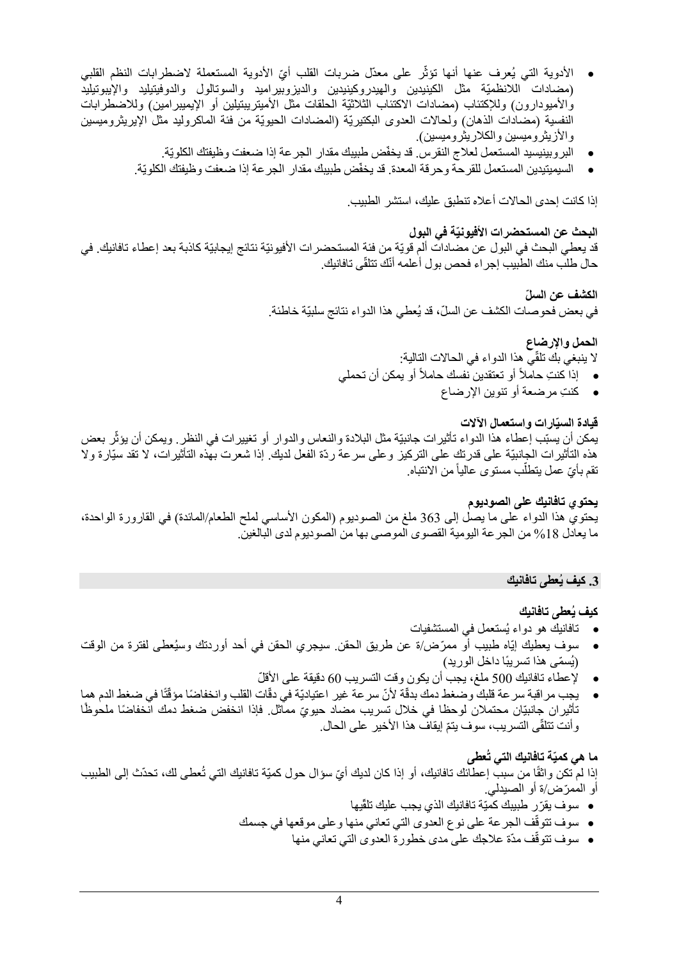- الأدوية التي يُعرف عنها أنها تؤثّر على معدّل ضربات القلب أيّ الأدوية المستعملة لاضطرابات النظم القلبي (مضادات اللانظمیّة مثل الكینیدین والهیدروكینیدین والدیزوبیرامید والسوتالول والدوفیتیلید والإیبوتیلید والأمیودارون) وللإكتئاب (مضادات الاكتئاب الثلاثیّة الحلقات مثل الأمیتریبتیلین أو الإیمیبرامین) وللاضطرابات النفسیة (مضادات الذھان) ولحالات العدوى البكتیریّة (المضادات الحیویّة من فئة الماكرولید مثل الإیریثرومیسین والأزیثرومیسین والكلاریثرومیسین).
	- البروبينيسيد المستعمل لعلاج النقرس قد يخفّض طبيبك مقدار الجر عة إذا ضعفت وظيفتك الكلويّة.
	- السيميتيدين المستعمل للقرحة وحرقة المعدة. قد يخفّض طبيبك مقدار الجرعة إذا ضعفت وظيفتك الكلويّة.

إذا كانت إحدى الحالات أعلاه تنطبق علیك، استشر الطبیب.

# **ّة في البول البحث عن المستحضرات الأفیونی**

قد یعطي البحث في البول عن مضادات ألم قویّة من فئة المستحضرات الأفیونیّة نتائج إیجابیّة كاذبة بعد إعطاء تافانیك. في حال طلب منك الطبيب إجراء فحص بول أعلمه أنّك تتلقّى تافانيك.

# **ّ الكشف عن السل** في بعض فحوصات الكشف عن السلّ، قد يُعطي هذا الدواء نتائج سلبيّة خاطئة.

# **الحمل والإرضاع**

- لا ينبغي بك تلقّي هذا الدواء في الحالات التالية:
- إذا كنتِ حاملاً أو تعتقدين نفسك حاملاً أو يمكن أن تحملي
	- ِ كنت مرضعة أو تنوین الإرضاع

# **ّارات واستعمال الآلات قیادة السی**

يمكن أن يسبّب إعطاء هذا الدواء تأثيرات جانبيّة مثل البلادة والنعاس والدوار أو تغييرات في النظر ـ ويمكن أن يؤثّر بعض ھذه التأثیرات الجانبیّة على قدرتك على التركیز وعلى سرعة ردّة الفعل لدیك. إذا شعرت بھذه التأثیرات، لا تقد سیّارة ولا نقم بأيّ عمل يتطلّب مستوى عالياً من الانتباه<sub>.</sub>

# **یحتوي تافانیك على الصودیوم**

یحتوي ھذا الدواء على ما یصل إلى 363 ملغ من الصودیوم (المكون الأساسي لملح الطعام/المائدة) في القارورة الواحدة، ما یعادل %18 من الجرعة الیومیة القصوى الموصى بھا من الصودیوم لدى البالغین.

# **ُعطى تافانیك .3 كیف ی**

# **ُعطى تافانیك كیف ی**

- ُستعمل في المستشفیات تافانیك ھو دواء ی
- ُعطى لفترة من الوقت سوف یعطیك إیّ ّ اه طبیب أو ممرض/ة عن طریق الحقن. سیجري الحقن في أحد أوردتك وسی (يُسمّى هذا تسريبًا داخل الوريد)
	- لإعطاء تافانیك 500 ملغ، یجب أن یكون وقت التسریب 60 ّ دقیقة على الأقل
- يجب مر اقبة سر عة قلبك وضغط دمك بدقّة لأنّ سر عة غير اعتياديّة في دقّات القلب و انخفاضًا مؤقّتًا في ضغط الدم هما تأثير ان جانبيّان محتملان لوحظا في خلال تسريب مضاد حيويّ مماثل. فإذا انخفض ضغط دمك انخفاضًا ملحوظًا وأنت تتلقّى التسريب، سوف يتمّ إيقاف هذا الأخير على الحال.

# **ُعطى ّة تافانیك التي ت ما ھي كمی**

إذا لم تكن واثقًا من سبب إعطائك تافانيك، أو إذا كان لديك أيّ سؤال حول كميّة تافانيك التي تُعطى لك، تحدّث إلى الطبيب ؚ<br>ا أو الممرّض/ة أو الصيدلي.

- سوف يقرّر طبيبك كميّة تافانيك الذي يجب عليك تلقّيها
- ّف الجرعة على نوع العدوى التي تعاني منھا وعلى موقعھا في جسمك سوف تتوق
	- ّف مدّة علاجك على مدى خطورة العدوى التي تعاني منھا سوف تتوق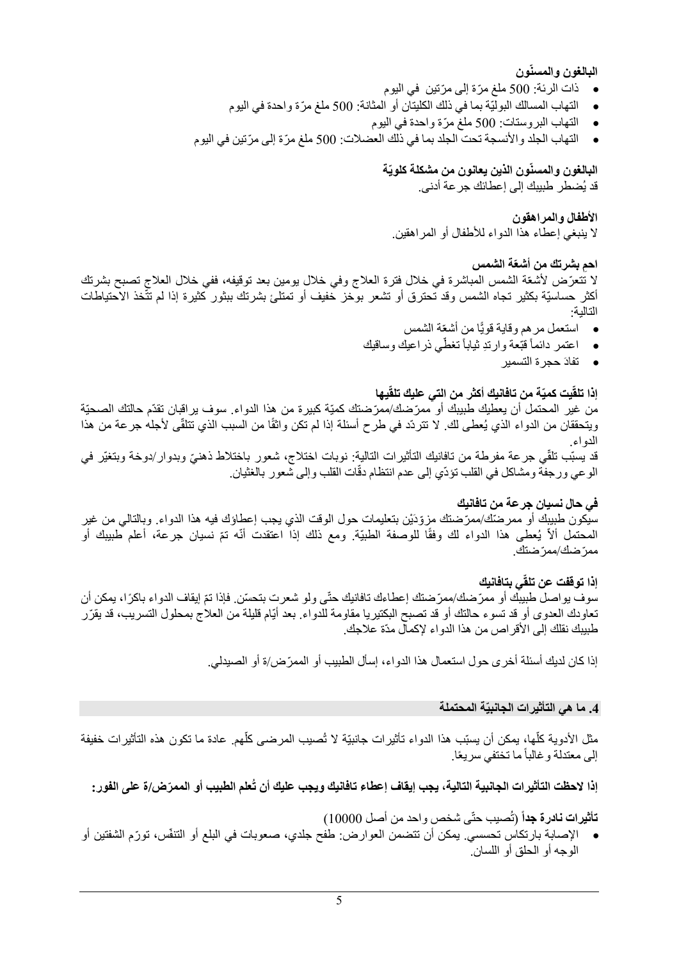**ّون البالغون والمسن**

- ذات الرئة: 500 ّ ملغ مر ّ ة إلى مرتین في الیوم
- التھاب المسالك البولیّة بما في ذلك الكلیتان أو المثانة: 500 ّ ملغ مرة واحدة في الیوم
	- التھاب البروستات: 500 ّ ملغ مرة واحدة في الیوم
- التهاب الجلد والأنسجة تحت الجلد بما في ذلك العضلات: 500 ملغ مرّة إلى مرّتين في اليوم

البالغون والمسنون الذين يعانون من مشكلة كلويّة قد يُضطر طبيبك إلى إعطائك جر عة ادنى.

**الأطفال والمراھقون**  لا ینبغي إعطاء ھذا الدواء للأطفال وأ المراھقین.

**ّة الشمس ِ احم بشرتك من أشع** لا تتعرّض لأشعّة الشمس المباشرة في خلال فترة العلاج وفي خلالٍ يومين بعد توقيفه، ففي خلال العلاج تصبح بشرتك اكثر حساسيّة بكثير تجاه الشمس وقد تحترق أو تشعر بوخز خفيف أو تمتلئ بشرتك ببثور كثيرة إذا لم تتّخذ الاحتياطات التالیة:

- استعمل مرهم وقایة قویًّا من أشعّة الشمس
- **•** اعتمر دائماً قبّعة وارتدِ ثياباً تغطّي ذراعيك وساقيك
	- َ حجرة التسمیر تفاد

# **ّیھا ّة من تافانیك أكثر من التي علیك تلق ّیت كمی إذا تلق**

ّ من غیر المحتمل أن یعطیك طبیبك أو ممر ّ ضك/ممرضتك كمیّة كبیرة من ھذا الدواء. سوف یراقبان تقدّم حالتك الصحیّة ويتحققان من الدواء الذي يُعطى لك. لا نتردّد في طرح أسئلة إذا لم نكن واثقًا من السبب الذي نتلقّى لأجله جرعة من هذا الدواء.

֢֖֖֖֖֖֖֖ׅׅׅׅ֪֪ׅ֪ׅ֪ׅ֧ׅ֧֧ׅ֧ׅ֧ׅ֚֚֚֚֚֚֚֚֚֚֚֚֡֓֡֡֬֝֬֓֡֬֓֡֬֓֓֞֡֬֓֓֞֡֬֓֞֡֬֓֓֞֬֓֓֞֬֓֓֞֬֓֡֬֬֬֞֬ نّد يسبّب تلقي جرعة مفرطة من تافانيك التأثيرات التالية: نوبات اختلاج، شعور باختلاط ذهنيّ وبدوار/دوخة وبتغيّر في الوعي ورجفة ومشاكل في القلب تؤدّي إلى عدم انتظام دقّات القلب وإلى شعور بالغثيان.

# **في حال نسیان جرعة من تافانیك**

سيكون طبيبك أو ممرضّك/ممرّضتك مزِوّدَيْن بتعليمات حول الوقت الذي يجب إعطاؤك فيه هذا الدواء. وبالتالي من غيرِ المحتمل ألاً يُعطي هذا الدواء لك وفقًا للوصفة الطبيّة. ومع ذلك إذا اعتقدت أنّه تمّ نسيان جرعة، أعلم طبيبك أو ممرّ ضنتك.

# **ّ افانیك بت إذا توقفت عن ي تلق**

سوف يواصل طبيبك أو ممرّ ضك⁄ممرّ ضنك إعطاءك تافانيك حتّي ولو شعرت بتحسّن. فإذا نمّ إيقاف الدواء باكرًا، يمكن أن تعاودك العدوى أو قد تسوء حالتك أو قد تصبح البكتیریا مقاومة للدواء. بعد أیّ ّ ام قلیلة من العلاج بمحلول التسریب، قد یقرر طبیبك نقلك إلى الأقراص من ھذا الدواء لإكمال مدّة علاجك.

إذا كان لديك أسئلة أخرى حول استعمال هذا الدواء، إسأل الطبيب أو الممرّ ض/ة أو الصيدلي.

# **ّة المحتملة .4 ما ھي التأثیرات الجانبی**

مثل الأدوية كلّها، يمكن أن يسبّب هذا الدواء تأثيرات جانبيّة لا تُصيب المرضى كلّهم. عادة ما تكون هذه التأثيرات خفيفة إلى معتدلة و غالباً ما تختفي سريعًا.

**إذا لاحظت التأثیرات الجانبیة التالیة، یجب إیقاف إعطاء تافانیك ویجب علیك أن تُ لى الفور: ّ علم الطبیب أو الممرض/ة ع**

**تأثيرات نادرة جد**اً (تُصيب حتّى شخص واحد من أصل 10000)

● الإصابة بارتكاس تحسسي. يمكن أن تتضمن العوارض: طفح جلدي، صعوبات في البلع أو التنفّس، تورّم الشفتين أو الوجھ أو الحلق أو اللسان.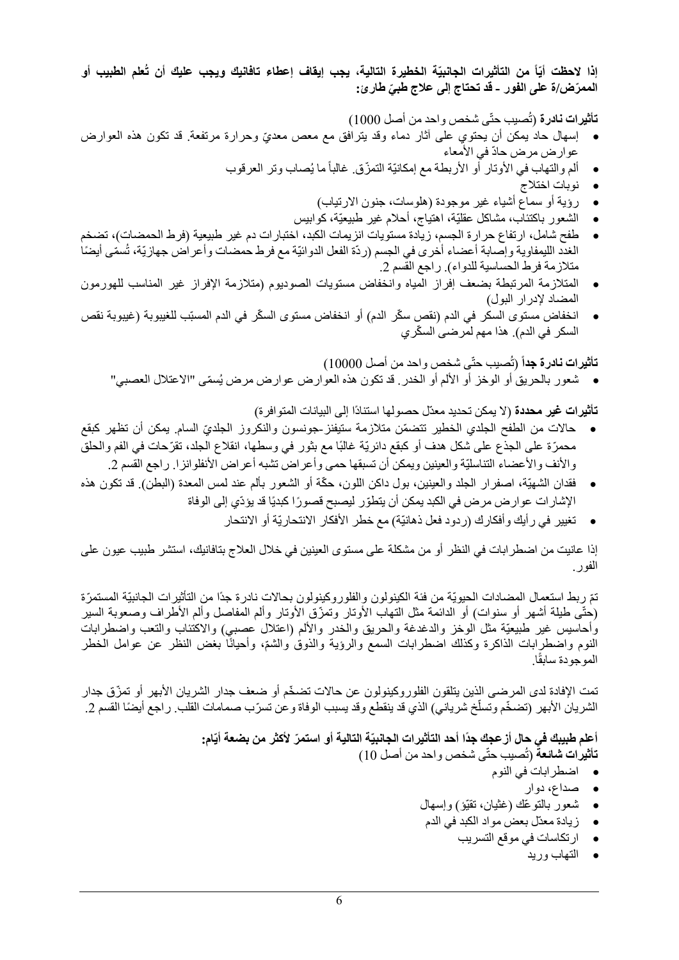إذا لا**حظت أيّاً من التأثيرات الجانبيّة الخطيرة التالية، يجب إيقاف إعطاء تافانيك ويجب عليك أن تُعلم الطبيب أو ّ الممرض/ة على الفور - ّ قد تحتاج إلى علاج طبي طارئ:** 

ّى شخص واحد من أصل 1000) ُصیب حت **تأثیرات نادرة** (ت

- ّ إسھال حاد یمكن أن یحتوي على آثار دماء وقد یترافق مع معص معدي وحرارة مرتفعة. قد تكون ھذه العوارض عوارض مرض حادّ في الأمعاء
	- ُصاب وتر العرقوب ً ما ی ألم والتھاب في الأوتار أو الأربطة مع إمكانیّ ّ ة التمزق. غالبا
		- نوبات اختلاج
		- رؤیة أو سماع أشیاء غیر موجودة (ھلوسات، جنون الارتیاب)
		- الشعور باكتئاب، مشاكل عقلیّة، اھتیاج، أحلام غیر طبیعیّة، كوابیس
- طفح شامل، ارتفاع حرارة الجسم، زیادة مستویات انزیمات الكبد، اختبارات دم غیر طبیعیة (فرط الحمضات)، تضخم الغدد الليمفاوية وإصابة أعضاء أخرى في الجسم (ردّة الفعل الدوائيّة مع فرط حمضات وأعراض جهازيّة، تُسمّى أيضًا متلازمة فرط الحساسیة للدواء). راجع القسم .2
- المتلازمة المرتبطة بضعف إفراز المیاه وانخفاض مستویات الصودیوم (متلازمة الإفراز غیر المناسب للھورمون المضاد لإدرار البول)
- انخفاض مستو ّ ى السكر في الدم (نقص سك ّ ر الدم) أو انخفاض مستوى السكر في الدم المسبّب للغیبوبة (غیبوبة نقص ّ السكر في الدم). ھذا مھم لمرضى السكري

ت**أثيرات نادرة جد**اً (تُصيب حتَّى شخص واحد من أصل 10000)

• شعور بالحريق أو الوخز أو الألم أو الخدر .قد تكون هذه العوارض عوارض مرض يُسمّى "الاعتلال العصبي"

**تأثیرات غیر محددة** (لا یمكن تحدید معدّل حصولھا استنادًا إلى البیانات المتوافرة)

- حالات من الطفح الجلدي الخطیر ّ تتضمن متلازمة ستیفنز- ّ جونسون والنكروز الجلدي السام. یمكن أن تظھر كبقع محمرّة على الجذع على شكل هدف أو كبقع دائريّة غالبًا مع بثور في وسطها، انقلاع الجلد، تقرّحات في الفم والحلق والأنف والأعضاء التناسلیّة والعینین ویمكن أن تسبقھا حمى وأعراض تشبھ أعراض الأنفلوانزا. راجع القسم .2
- فقدان الشھیّة، اصفرار الجلد والعینین، بول ّ داكن اللون، حكة أو الشعور بألم عند لمس المعدة (البطن). قد تكون ھذه الإشار ات عو ار ض مر ض في الكبد يمكن أن يتطوّر ليصبح قصورًا كبديًا قد يؤدّي إلى الوفاة
	- تغییر في رأیك وأفكارك (ردود فعل ذھانیّة) مع خطر الأفكار الانتحاریّة أو الانتحار

إذا عانیت من اضطرابات في النظر أو من مشكلة على مستوى العینین في خلال العلاج بتافانیك، استشر طبیب عیون على الفور.

تمّ ربط استعمال المضادات الحيويّة من فئة الكينولون والفلوروكينولون بحالات نادرة جدًا من التأثيرات الجانبيّة المستمرّة (حتّى طيلة أشهر أو سنوات) أو الدائمة مثل التهاب الأوتار وتمزّق الأوتار وألم المفاصل وألم الأطراف وصعوبة السير وأحاسیس غیر طبیعیّة مثل الوخز والدغدغة والحریق والخدر والألم (اعتلال عصبي) والاكتئاب والتعب واضطرابات النوم واضطرِبابات الذاکرة وکذلك اضطرابات السمع والرؤية والذوق والشُّمّ، وأحيانًا بغض النظر عن عوامل الخطر الموجودة سابقًا.

تمت الإفادة لدى المرضىي الذین یتلقون الفلوروكینولون عن حالات تضخّم أو ضعف جدار الشریان الأبهر أو تمزّق جدار الشريان الأبهر (تضخّم وتسلّخ شرياني) الذي قد ينقطع وقد يسبب الوفاة و عن تسرّب صمامات القلب. راجع أيضًا القسم 2.

> أعلم طبيبك في حال أزعجك جدا أحد التأثيرات الجانبيّة التالية أو استمرّ لأكثر من بضعة أيّام: ّى شخص واحد من أصل 10) ُصیب حت **تأثیرات شائعة** (ت

- اضطرابات في النوم
	- صداع، دوار
- ّ شعور بالتوعك (غثیان، تقیّؤ) وإسھال
- زیادة معدّل بعض مواد الكبد في الدم
	- ارتكاسات في موقع التسریب
		- التھاب ورید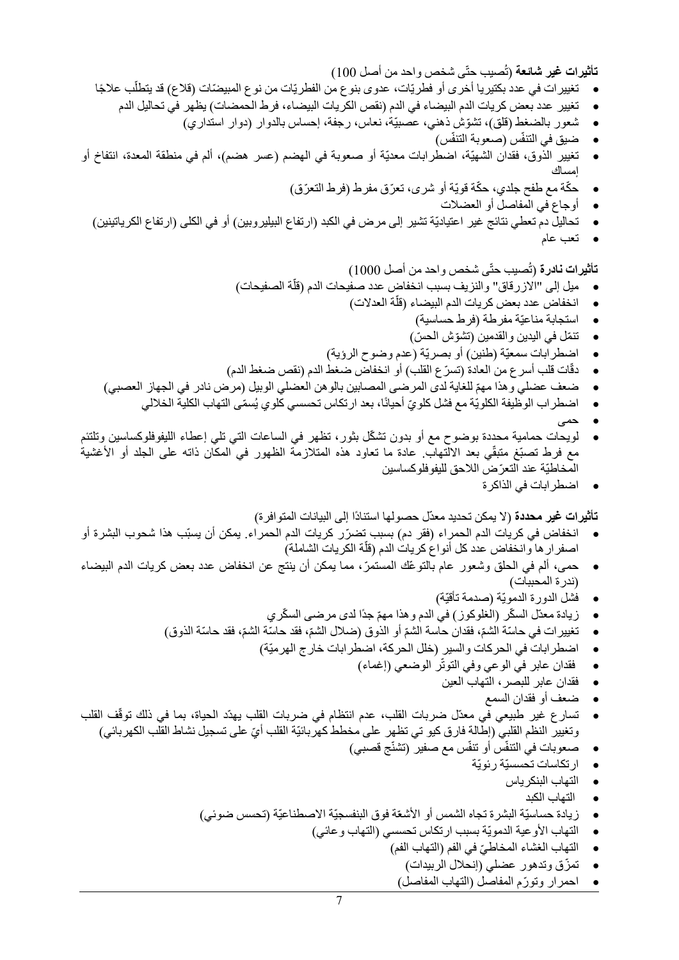ّى شخص واحد من أصل 100) ُصیب حت **تأثیرات غیر شائعة** (ت

- ֖֖֖֖֖֖֖֖֖ׅ֖ׅ֧֧֧֧֧֧֚֚֚֚֚֚֚֚֚֚֚֚֚֚֚֚֚֚֚֚֡֬֓֓֞֓֞֓֓֞֬֓֓֓֬֓֓֬֓֓֬֓֓֬֓֓֞֬֝֬֓֓֬֝֬֝֓֬֝֬֓֝֬֝֬֓֝֬֝֬֝֬֝֬֝֬ ● تغيير ات في عدد بكتيريا أخرى أو فطريّات، عدوى بنوع من الفطريّات من نوع المبيضّات (قلاع) قد يتطلب علاجًا ۖ
	- تغییر عدد بعض كریات الدم البیضاء في الدم (نقص الكریات البیضاء، فرط الحمضات) یظھر في تحالیل الدم
		- ّ شعور بالضغط (قلق)، تشوش ذھني، عصبیّة، نعاس، رجفة، إحساس بالدوار (دوار استداري)
			- ّس) ّس (صعوبة التنف ضیق في التنف
- تغییر الذوق، فقدان الشھیّة، اضطرابات معدیّة أو صعوبة في الھضم (عسر ھضم)، ألم في منطقة المعدة، انتفاخ أو إمساك
	- ّحك ّ ة مع طفح جلدي، حكة قویّ ّ ة أو شرى، تعر ّ ق مفرط (فرط التعرق)
		- أوجاع في المفاصل أو العضلات
	- تحالیل دم تعطي نتائج غیر اعتیادیّة تشیر إلى مرض في الكبد (ارتفاع البیلیروبین) أو في الكلى (ارتفاع الكریاتینین)
		- تعب عام

# ّى شخص واحد من أصل 1000) ُصیب حت **تأثیرات نادرة** (ت

- ّة الصفیحات) میل إلى "الازرقاق" والنزیف بسبب انخفاض عدد صفیحات الدم (قل
	- ّة العدلات) انخفاض عدد بعض كریات الدم البیضاء (قل
		- استجابة مناعیّة مفرطة (فرط حساسیة)
		- تنمّل في اليدين والقدمين (تشوّش الحسّ)
	- اضطرابات سمعیّة (طنین) أو بصریّة (عدم وضوح الرؤیة)
- ّ ّ ات قلب أسرع من العادة (تسرع القلب) أو انخفاض ضغط الدم (نقص ضغط الدم) دق
- ّ ضعف عضلي وھذا مھم للغایة لدى المرضى المصابین بالوھن العضلي الوبیل (مرض نادر في الجھاز العصبي)
	- اضطر اب الوظيفة الكلويّة مع فشل كلويّ أحيانًا، بعد ارتكاس تحسسي كلوي يُسمّى التهاب الكلية الخلالي
		- حمى
- ّ لویحات حمامیة محددة بوضوح مع أو بدون تشكل بثور، تظھر في الساعات التي تلي إعطاء اللیفوفلوكساسین وتلتئم مع فرط تصبّغ متبقّي بعد الالتھاب. عادة ما تعاود هذه المتلازمة الظهور في المكان ذاته على الجلد أو الأغشية المخاطیّ ّ ة عند التعرض اللاحق للیفوفلوكساسین
	- اضطرابات في الذاكرة

**تأثیرات غیر محددة** (لا یمكن تحدید معدّل حصولھا استنادًا إلى البیانات المتوافرة)

- انخفاض في كریات الدم الحمراء ّ (فقر دم) بسبب تضرر كریات الدم الحمراء. یمكن أن یسبّب ھذا شحوب البشرة أو اصفر ار ها وانخفاض عدد كل أنواع كريات الدم (قلّة الكريات الشاملة)
- ّ حمى، ألم في الحلق وشعور عام بالتوع ّ ك المستمر، مما یمكن أن ینتج عن انخفاض عدد بعض كریات الدم البیضاء (ندرة المحببات)
	- فشل الدورة الدمویّة (صدمة تأقیّة)
	- زيادة معدّل السكّر (الغلوكوز) في الدم وهذا مهمّ جدًا لدى مرضى السكّري
	- تغيير ات في حاسّة الشمّ، فقدان حاسة الشمّ أو الذوق (ضلال الشمّ، فقد حاسّة الشمّ، فقد حاسّة الذوق)
		- اضطرابات في الحركات والسیر (خلل الحركة، اضطرابات خارج الھرمیّة)
			- ّر الوضعي (إغماء) فقدان عابر في الوعي وفي التوت
				- فقدان عابر للبصر، التھاب العین
					- ضعف أو فقدان السمع
- تسار ع غير طبيعي في معدّل ضربات القلب، عدم انتظام في ضربات القلب يهدّد الحياة، بما في ذلك توقّف القلب وتغییر النظم القلبي (إطالة فارق كیو تي تظهر على مخطط كهربائيّة القلب أيّ على تسجیل نشاط القلب الكهربائي)
	- ّج قصبي) ّس مع صفیر (تشن ّس أو تنف صعوبات في التنف
		- ارتكاسات تحسسیّة رئویّة
			- التھاب البنكریاس
				- التھاب الكبد
	- زيادة حساسيّة البشرة تجاه الشمس أو الأشعّة فوق البنفسجيّة الاصطناعيّة (تحسس ضوئي)
		- التھاب الأوعیة الدمویّة بسبب ارتكاس تحسسي (التھاب وعائي)
			- •ّ التھاب الغشاء المخاطي في الفم (التھاب الفم)
			- ّ تمزق وتدھور عضلي (إنحلال الربیدات)
				- ّ احمرار وتورم المفاصل (التھاب المفاصل)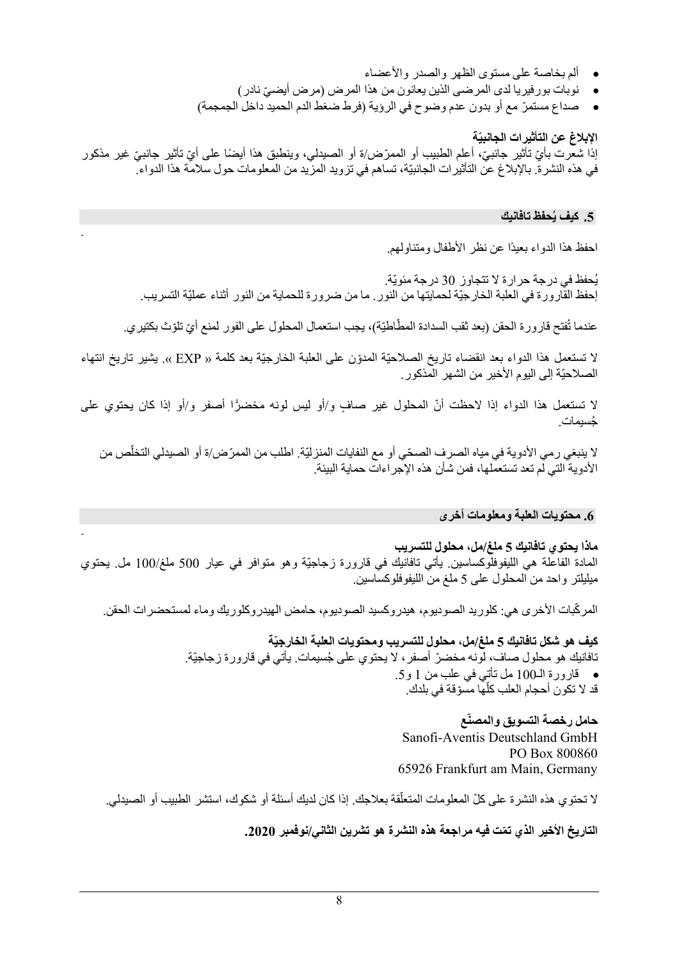- ألم بخاصة على مستوى الظھر والصدر والأعضاء
- نوبات بورفیریا لدى المرضى الذین یعانون من ھذا ا ّ لمرض (مرض أیضي نادر)
- ّ صداع مستمر مع أو بدون عدم وضوح في الرؤیة (فرط ضغط الدم الحمید داخل الجمجمة)

**ّة الإبلاغ عن التأثیرات الجانبی**

إذا شعّرت بأيّ تأثير جانبيّ، أعلم الطبيب أو الممرّض/ة أو الصيدلي، وينطبق هذا أيضًا على أيّ تأثير جانبيّ غير مذكور في ھذه النشرة. بالإبلاغ عن التأثیرات الجانبیّة، تساھم في تزوید المزید من المعلومات حول سلامة ھذا الدواء.

-

# **ُحفظ تافانیك .5 كیف ی**

احفظ ھذا الدواء بعیدًا عن نظر الأطفال ومتناولھم.

يُحفظ في درجة حرارة لا تتجاوز 30 درجة مئويّة. إحفظ القارورة في العلبة الخارجیّة لحمایتھا من النور. ما من ضرورة للحمایة من النور أثناء عملیّة التسریب.

عندما تُفتح قارورة الحقن (بعد ثقب السدادة المطّاطيّة)، يجب استعمال المحلول على الفور لمنع أيّ تلوّث بكتيري.

لا تستعمل ھذا الدواء بعد انقضاء تاریخ الصلاحیّة ّ المدون على العلبة الخارجیّة بعد كلمة « EXP« . یشیر تاریخ انتھاء الصلاحیّة إلى الیوم الأخیر من الشھر المذكور.

لا تستعمل ھذا الدواء ّ إذا لاحظت أن ٍ المحلول غیر صاف � و/أو لیس لونھ مخضرا أصفر و/أو إذا كان یحتوي على ُجسیمات.

لا ينبغي رمي الأدوية في مياه الصرف الصحّي أو مع النفايات المنزليّة. اطلب من الممرّض/ة أو الصيدلي التخلّص من الأدویة التي لم تعد تستعملھا، فمن شأن ھذه الإجراءات حمایة البیئة.

# **.6 محتویات العلبة ومعلومات أخرى**

- **ماذا یحتوي تافانیك 5 ملغ/مل، محلول للتسریب**  المادة الفاعلة ھي اللیفوفلوكساسین. یأتي تافانیك في قارورة زجاجیّة وھو متوافر في عیار 500 ملغ100/ مل. یحتوي میلیلتر واحد من المحلول على 5 ملغ من اللیفوفلوكساسین.

ّ المركبات الأخرى ھي: كلورید الصودیوم، ھیدروكسید الصودیوم، حامض الھیدروكلوریك وماء لمستحضرات الحقن.

**ّة كیف ھو شكل تافانیك 5 ملغ/مل، محلول للتسریب ومحتویات العلبة الخارجی** تافانیك ّ ھو محلول صاف، لونھ مخضر ُ أصفر، لا یحتوي على جسیمات. یأتي في قارورة زجاجیّة. • قارورة الـ 100 مل تأتي في علب من 1 و 5. قد لا تكون أحجام العلب كلّْهَا مسّوّقة في بلدك.

> **ّع حامل رخصة التسویق والمصن** Sanofi-Aventis Deutschland GmbH PO Box 800860 65926 Frankfurt am Main, Germany

لا تحتوي هذه النشرة على كلّ المعلومات المتعلّقة بعلاجك. إذا كان لديك أسئلة أو شكوك، استشر الطبيب أو الصيدلي.

**ّ التاریخ الأخیر الذي تمت فیھ مراجعة ھذه النشرة ھو تشرین الثاني/نوفمبر .2020**